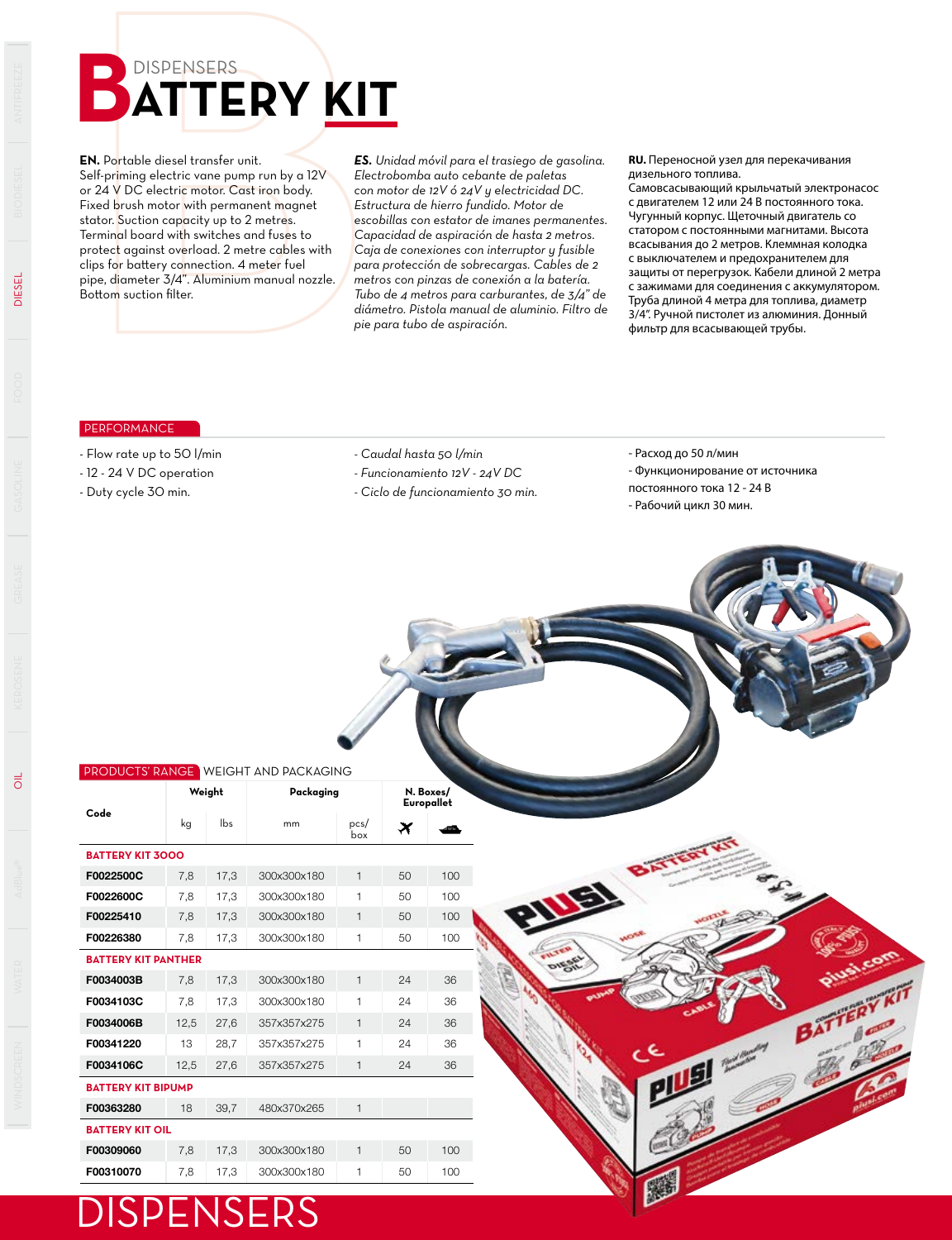## **BUSPENSERS**

**EN.** Portable diesel transfer unit. Self-priming electric vane pump run by a 12V or 24 V DC electric motor. Cast iron body. Fixed brush motor with permanent magnet stator. Suction capacity up to 2 metres. Terminal board with switches and fuses to protect against overload. 2 metre cables with clips for battery connection. 4 meter fuel pipe, diameter 3/4". Aluminium manual nozzle. Bottom suction filter.

*ES. Unidad móvil para el trasiego de gasolina. Electrobomba auto cebante de paletas con motor de 12V ó 24V y electricidad DC. Estructura de hierro fundido. Motor de escobillas con estator de imanes permanentes. Capacidad de aspiración de hasta 2 metros. Caja de conexiones con interruptor y fusible para protección de sobrecargas. Cables de 2 metros con pinzas de conexión a la batería. Tubo de 4 metros para carburantes, de 3/4" de diámetro. Pistola manual de aluminio. Filtro de pie para tubo de aspiración.*

**RU.** Переносной узел для перекачивания дизельного топлива.

Самовсасывающий крыльчатый электронасос с двигателем 12 или 24 В постоянного тока. Чугунный корпус. Щеточный двигатель со статором с постоянными магнитами. Высота всасывания до 2 метров. Клеммная колодка с выключателем и предохранителем для защиты от перегрузок. Кабели длиной 2 метра с зажимами для соединения с аккумулятором. Труба длиной 4 метра для топлива, диаметр 3/4". Ручной пистолет из алюминия. Донный фильтр для всасывающей трубы.

## PERFORMANCE

- Flow rate up to 50 l/min
- 12 24 V DC operation
- Duty cycle 30 min.
- *Caudal hasta 50 l/min*
- *Funcionamiento 12V 24V DC*
- *Ciclo de funcionamiento 30 min.*
- Расход до 50 л/мин
- Функционирование от источника

BATT

**ISLES** 

постоянного тока 12 - 24 В - Рабочий цикл 30 мин.



## DISPENSERS

DIESEL